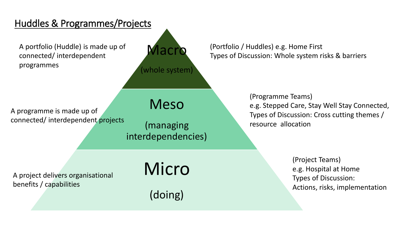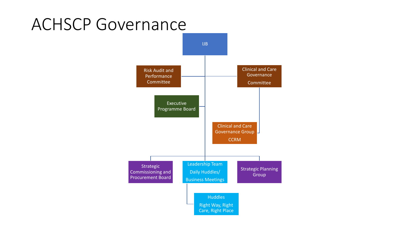## ACHSCP Governance

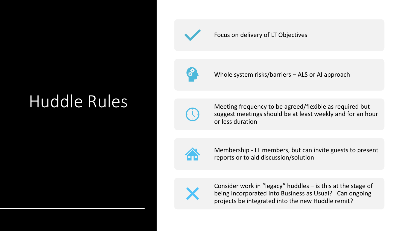# Huddle Rules



#### Focus on delivery of LT Objectives



Whole system risks/barriers – ALS or AI approach



Meeting frequency to be agreed/flexible as required but suggest meetings should be at least weekly and for an hour or less duration



Membership - LT members, but can invite guests to present reports or to aid discussion/solution



Consider work in "legacy" huddles – is this at the stage of being incorporated into Business as Usual? Can ongoing projects be integrated into the new Huddle remit?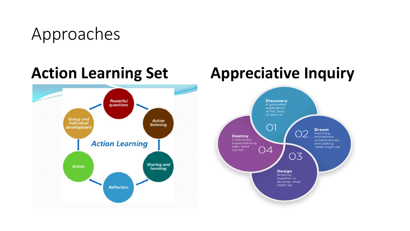## Approaches



## **Action Learning Set Appreciative Inquiry**

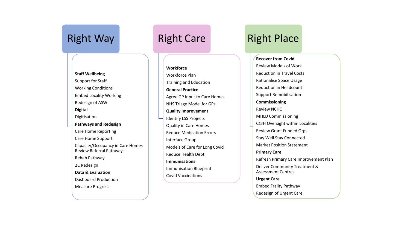### Right Way

**Staff Wellbeing** Support for Staff Working Conditions Embed Locality Working Redesign of ASW **Digital** Digitisation **Pathways and Redesign** Care Home Reporting Care Home Support Capacity/Occupancy in Care Homes Review Referral Pathways Rehab Pathway 2C Redesign **Data & Evaluation** Dashboard Production Measure Progress

### Right Care

#### **Workforce**

Workforce Plan Training and Education **General Practice** Agree GP Input to Care Homes NHS Triage Model for GPs **Quality Improvement** Identify LSS Projects Quality in Care Homes Reduce Medication Errors Interface Group Models of Care for Long Covid Reduce Health Debt **Immunisations** Immunisation Blueprint Covid Vaccinations

### Right Place

#### **Recover from Covid**

Review Models of Work Reduction in Travel Costs Rationalise Space Usage Reduction in Headcount Support Remobilisation **Commissioning** Review NCHC MHLD Commissioning C@H Oversight within Localities Review Grant Funded Orgs Stay Well Stay Connected Market Position Statement **Primary Care** Refresh Primary Care Improvement Plan Deliver Community Treatment & Assessment Centres **Urgent Care** Embed Frailty Pathway Redesign of Urgent Care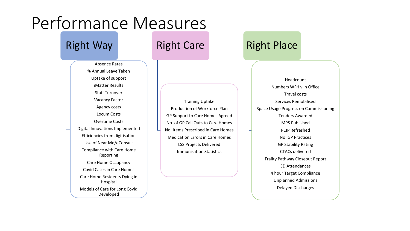## Performance Measures

#### Right Way

Absence Rates % Annual Leave Taken Uptake of support iMatter Results Staff Turnover Vacancy Factor Agency costs Locum Costs Overtime Costs Digital Innovations Implemented Efficiencies from digitisation Use of Near Me/eConsult Compliance with Care Home Reporting Care Home Occupancy Covid Cases in Care Homes Care Home Residents Dying in Hospital Models of Care for Long Covid Developed

### Right Care

Training Uptake Production of Workforce Plan GP Support to Care Homes Agreed No. of GP Call Outs to Care Homes No. Items Prescribed in Care Homes Medication Errors in Care Homes LSS Projects Delivered Immunisation Statistics

### Right Place

Headcount Numbers WFH v in Office Travel costs Services Remobilised Space Usage Progress on Commissioning Tenders Awarded MPS Published PCIP Refreshed No. GP Practices GP Stability Rating CTACs delivered Frailty Pathway Closeout Report ED Attendances 4 hour Target Compliance Unplanned Admissions Delayed Discharges